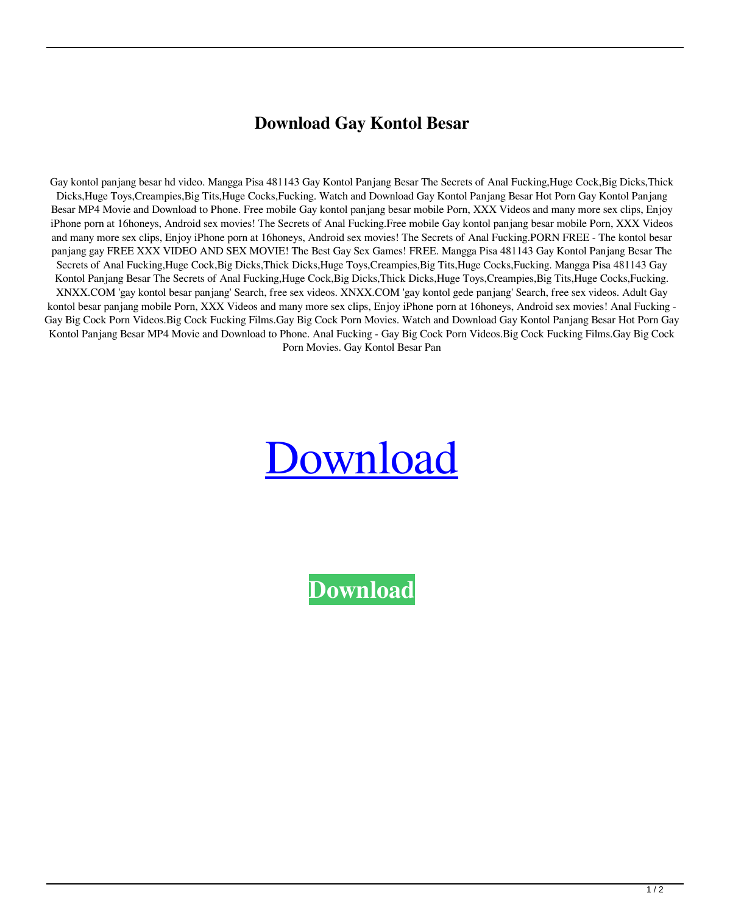## **Download Gay Kontol Besar**

Gay kontol panjang besar hd video. Mangga Pisa 481143 Gay Kontol Panjang Besar The Secrets of Anal Fucking,Huge Cock,Big Dicks,Thick Dicks,Huge Toys,Creampies,Big Tits,Huge Cocks,Fucking. Watch and Download Gay Kontol Panjang Besar Hot Porn Gay Kontol Panjang Besar MP4 Movie and Download to Phone. Free mobile Gay kontol panjang besar mobile Porn, XXX Videos and many more sex clips, Enjoy iPhone porn at 16honeys, Android sex movies! The Secrets of Anal Fucking.Free mobile Gay kontol panjang besar mobile Porn, XXX Videos and many more sex clips, Enjoy iPhone porn at 16honeys, Android sex movies! The Secrets of Anal Fucking.PORN FREE - The kontol besar panjang gay FREE XXX VIDEO AND SEX MOVIE! The Best Gay Sex Games! FREE. Mangga Pisa 481143 Gay Kontol Panjang Besar The Secrets of Anal Fucking,Huge Cock,Big Dicks,Thick Dicks,Huge Toys,Creampies,Big Tits,Huge Cocks,Fucking. Mangga Pisa 481143 Gay Kontol Panjang Besar The Secrets of Anal Fucking,Huge Cock,Big Dicks,Thick Dicks,Huge Toys,Creampies,Big Tits,Huge Cocks,Fucking. XNXX.COM 'gay kontol besar panjang' Search, free sex videos. XNXX.COM 'gay kontol gede panjang' Search, free sex videos. Adult Gay kontol besar panjang mobile Porn, XXX Videos and many more sex clips, Enjoy iPhone porn at 16honeys, Android sex movies! Anal Fucking - Gay Big Cock Porn Videos.Big Cock Fucking Films.Gay Big Cock Porn Movies. Watch and Download Gay Kontol Panjang Besar Hot Porn Gay Kontol Panjang Besar MP4 Movie and Download to Phone. Anal Fucking - Gay Big Cock Porn Videos.Big Cock Fucking Films.Gay Big Cock Porn Movies. Gay Kontol Besar Pan

## [Download](http://evacdir.com/clothed/garrincha.jlittlewood?stade=ZG93bmxvYWR8SG4wTVhaM1pIeDhNVFkxTWpjME1EZzJObng4TWpVM05IeDhLRTBwSUhKbFlXUXRZbXh2WnlCYlJtRnpkQ0JIUlU1ZA&calkins=&ZG93bmxvYWQgZ2F5IGtvbnRvbCBiZXNhcgZG9=strewn.backstretch)

**[Download](http://evacdir.com/clothed/garrincha.jlittlewood?stade=ZG93bmxvYWR8SG4wTVhaM1pIeDhNVFkxTWpjME1EZzJObng4TWpVM05IeDhLRTBwSUhKbFlXUXRZbXh2WnlCYlJtRnpkQ0JIUlU1ZA&calkins=&ZG93bmxvYWQgZ2F5IGtvbnRvbCBiZXNhcgZG9=strewn.backstretch)**